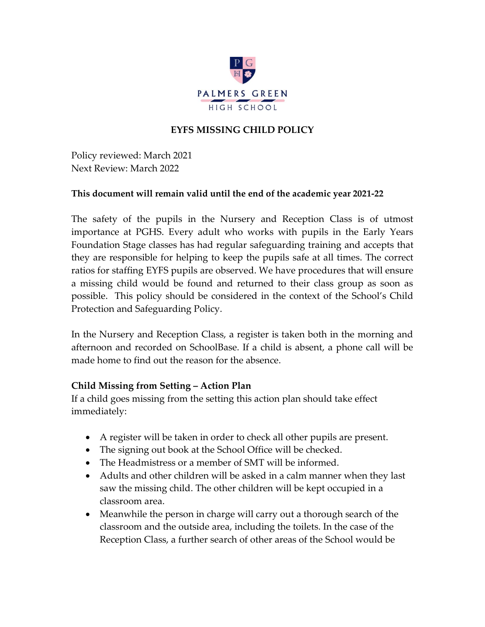

#### **EYFS MISSING CHILD POLICY**

Policy reviewed: March 2021 Next Review: March 2022

#### **This document will remain valid until the end of the academic year 2021-22**

The safety of the pupils in the Nursery and Reception Class is of utmost importance at PGHS. Every adult who works with pupils in the Early Years Foundation Stage classes has had regular safeguarding training and accepts that they are responsible for helping to keep the pupils safe at all times. The correct ratios for staffing EYFS pupils are observed. We have procedures that will ensure a missing child would be found and returned to their class group as soon as possible. This policy should be considered in the context of the School's Child Protection and Safeguarding Policy.

In the Nursery and Reception Class, a register is taken both in the morning and afternoon and recorded on SchoolBase. If a child is absent, a phone call will be made home to find out the reason for the absence.

#### **Child Missing from Setting – Action Plan**

If a child goes missing from the setting this action plan should take effect immediately:

- A register will be taken in order to check all other pupils are present.
- The signing out book at the School Office will be checked.
- The Headmistress or a member of SMT will be informed.
- Adults and other children will be asked in a calm manner when they last saw the missing child. The other children will be kept occupied in a classroom area.
- Meanwhile the person in charge will carry out a thorough search of the classroom and the outside area, including the toilets. In the case of the Reception Class, a further search of other areas of the School would be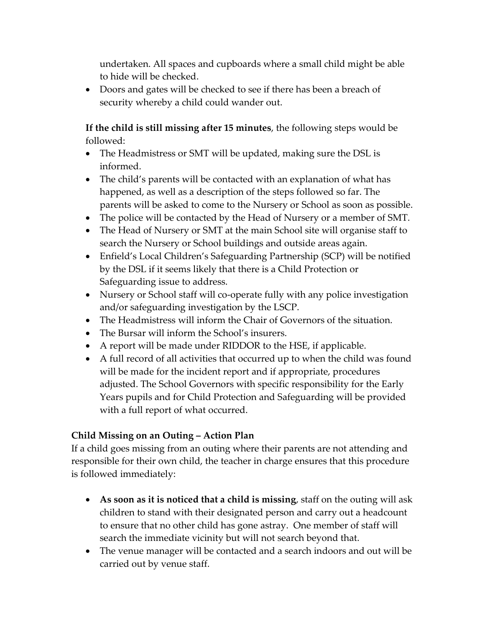undertaken. All spaces and cupboards where a small child might be able to hide will be checked.

• Doors and gates will be checked to see if there has been a breach of security whereby a child could wander out.

**If the child is still missing after 15 minutes**, the following steps would be followed:

- The Headmistress or SMT will be updated, making sure the DSL is informed.
- The child's parents will be contacted with an explanation of what has happened, as well as a description of the steps followed so far. The parents will be asked to come to the Nursery or School as soon as possible.
- The police will be contacted by the Head of Nursery or a member of SMT.
- The Head of Nursery or SMT at the main School site will organise staff to search the Nursery or School buildings and outside areas again.
- Enfield's Local Children's Safeguarding Partnership (SCP) will be notified by the DSL if it seems likely that there is a Child Protection or Safeguarding issue to address.
- Nursery or School staff will co-operate fully with any police investigation and/or safeguarding investigation by the LSCP.
- The Headmistress will inform the Chair of Governors of the situation.
- The Bursar will inform the School's insurers.
- A report will be made under RIDDOR to the HSE, if applicable.
- A full record of all activities that occurred up to when the child was found will be made for the incident report and if appropriate, procedures adjusted. The School Governors with specific responsibility for the Early Years pupils and for Child Protection and Safeguarding will be provided with a full report of what occurred.

# **Child Missing on an Outing – Action Plan**

If a child goes missing from an outing where their parents are not attending and responsible for their own child, the teacher in charge ensures that this procedure is followed immediately:

- **As soon as it is noticed that a child is missing**, staff on the outing will ask children to stand with their designated person and carry out a headcount to ensure that no other child has gone astray. One member of staff will search the immediate vicinity but will not search beyond that.
- The venue manager will be contacted and a search indoors and out will be carried out by venue staff.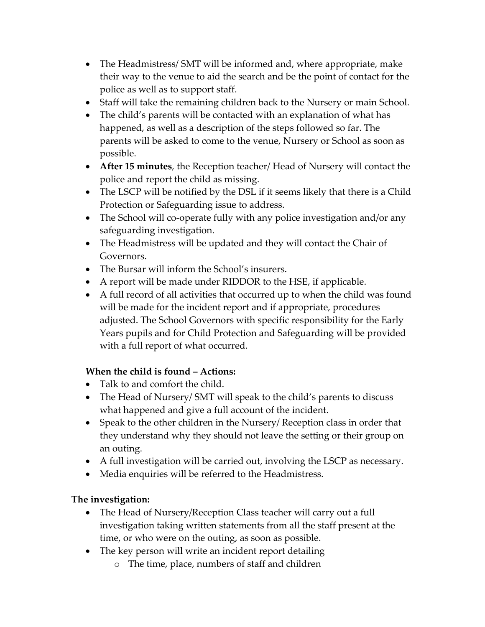- The Headmistress/ SMT will be informed and, where appropriate, make their way to the venue to aid the search and be the point of contact for the police as well as to support staff.
- Staff will take the remaining children back to the Nursery or main School.
- The child's parents will be contacted with an explanation of what has happened, as well as a description of the steps followed so far. The parents will be asked to come to the venue, Nursery or School as soon as possible.
- **After 15 minutes**, the Reception teacher/ Head of Nursery will contact the police and report the child as missing.
- The LSCP will be notified by the DSL if it seems likely that there is a Child Protection or Safeguarding issue to address.
- The School will co-operate fully with any police investigation and/or any safeguarding investigation.
- The Headmistress will be updated and they will contact the Chair of Governors.
- The Bursar will inform the School's insurers.
- A report will be made under RIDDOR to the HSE, if applicable.
- A full record of all activities that occurred up to when the child was found will be made for the incident report and if appropriate, procedures adjusted. The School Governors with specific responsibility for the Early Years pupils and for Child Protection and Safeguarding will be provided with a full report of what occurred.

# **When the child is found – Actions:**

- Talk to and comfort the child.
- The Head of Nursery/ SMT will speak to the child's parents to discuss what happened and give a full account of the incident.
- Speak to the other children in the Nursery/ Reception class in order that they understand why they should not leave the setting or their group on an outing.
- A full investigation will be carried out, involving the LSCP as necessary.
- Media enquiries will be referred to the Headmistress.

# **The investigation:**

- The Head of Nursery/Reception Class teacher will carry out a full investigation taking written statements from all the staff present at the time, or who were on the outing, as soon as possible.
- The key person will write an incident report detailing
	- o The time, place, numbers of staff and children